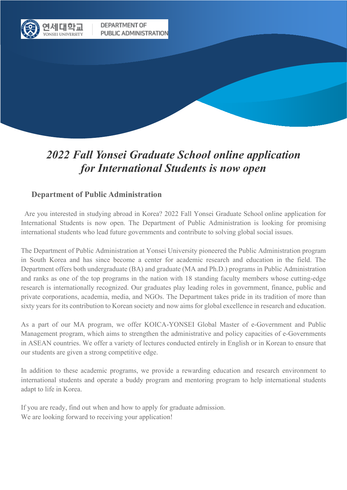

DEPARTMENT OF PUBLIC ADMINISTRATION

# *2022 Fall Yonsei Graduate School online application for International Students is now open*

# **Department of Public Administration**

 Are you interested in studying abroad in Korea? 2022 Fall Yonsei Graduate School online application for International Students is now open. The Department of Public Administration is looking for promising international students who lead future governments and contribute to solving global social issues.

The Department of Public Administration at Yonsei University pioneered the Public Administration program in South Korea and has since become a center for academic research and education in the field. The Department offers both undergraduate (BA) and graduate (MA and Ph.D.) programs in Public Administration and ranks as one of the top programs in the nation with 18 standing faculty members whose cutting-edge research is internationally recognized. Our graduates play leading roles in government, finance, public and private corporations, academia, media, and NGOs. The Department takes pride in its tradition of more than sixty years for its contribution to Korean society and now aims for global excellence in research and education.

As a part of our MA program, we offer KOICA-YONSEI Global Master of e-Government and Public Management program, which aims to strengthen the administrative and policy capacities of e-Governments in ASEAN countries. We offer a variety of lectures conducted entirely in English or in Korean to ensure that our students are given a strong competitive edge.

In addition to these academic programs, we provide a rewarding education and research environment to international students and operate a buddy program and mentoring program to help international students adapt to life in Korea.

If you are ready, find out when and how to apply for graduate admission. We are looking forward to receiving your application!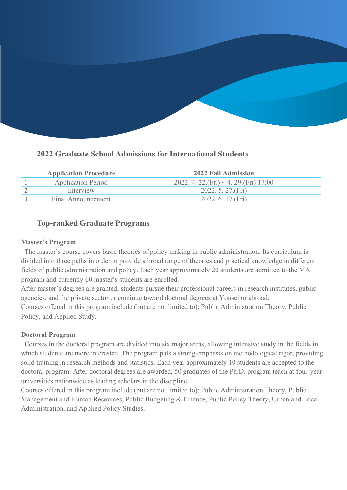# **2022 Graduate School Admissions for International Students**

| <b>Application Procedure</b> | 2022 Fall Admission                          |
|------------------------------|----------------------------------------------|
| <b>Application Period</b>    | 2022. 4. 22. (Fri) $\sim$ 4. 29. (Fri) 17:00 |
| Interview                    | 2022. 5. 27. (Fri)                           |
| Final Announcement           | 2022.6.17(Fri)                               |

# **Top-ranked Graduate Programs**

### **Master's Program**

 The master's course covers basic theories of policy making in public administration. Its curriculum is divided into three paths in order to provide a broad range of theories and practical knowledge in different fields of public administration and policy. Each year approximately 20 students are admitted to the MA program and currently 60 master's students are enrolled.

After master's degrees are granted, students pursue their professional careers in research institutes, public agencies, and the private sector or continue toward doctoral degrees at Yonsei or abroad. Courses offered in this program include (but are not limited to): Public Administration Theory, Public Policy, and Applied Study.

### **Doctoral Program**

 Courses in the doctoral program are divided into six major areas, allowing intensive study in the fields in which students are more interested. The program puts a strong emphasis on methodological rigor, providing solid training in research methods and statistics. Each year approximately 10 students are accepted to the doctoral program. After doctoral degrees are awarded, 50 graduates of the Ph.D. program teach at four-year universities nationwide as leading scholars in the discipline.

Courses offered in this program include (but are not limited to): Public Administration Theory, Public Management and Human Resources, Public Budgeting & Finance, Public Policy Theory, Urban and Local Administration, and Applied Policy Studies.